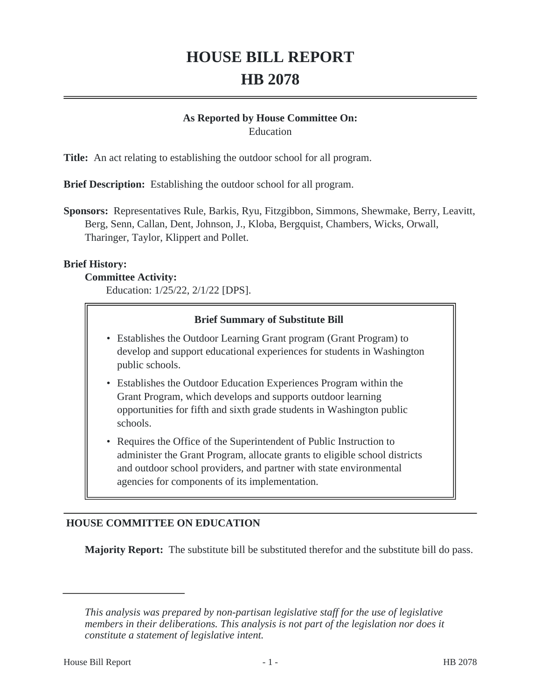# **HOUSE BILL REPORT HB 2078**

#### **As Reported by House Committee On:** Education

**Title:** An act relating to establishing the outdoor school for all program.

**Brief Description:** Establishing the outdoor school for all program.

**Sponsors:** Representatives Rule, Barkis, Ryu, Fitzgibbon, Simmons, Shewmake, Berry, Leavitt, Berg, Senn, Callan, Dent, Johnson, J., Kloba, Bergquist, Chambers, Wicks, Orwall, Tharinger, Taylor, Klippert and Pollet.

#### **Brief History:**

#### **Committee Activity:**

Education: 1/25/22, 2/1/22 [DPS].

#### **Brief Summary of Substitute Bill**

- Establishes the Outdoor Learning Grant program (Grant Program) to develop and support educational experiences for students in Washington public schools.
- Establishes the Outdoor Education Experiences Program within the Grant Program, which develops and supports outdoor learning opportunities for fifth and sixth grade students in Washington public schools.
- Requires the Office of the Superintendent of Public Instruction to administer the Grant Program, allocate grants to eligible school districts and outdoor school providers, and partner with state environmental agencies for components of its implementation.

## **HOUSE COMMITTEE ON EDUCATION**

**Majority Report:** The substitute bill be substituted therefor and the substitute bill do pass.

*This analysis was prepared by non-partisan legislative staff for the use of legislative members in their deliberations. This analysis is not part of the legislation nor does it constitute a statement of legislative intent.*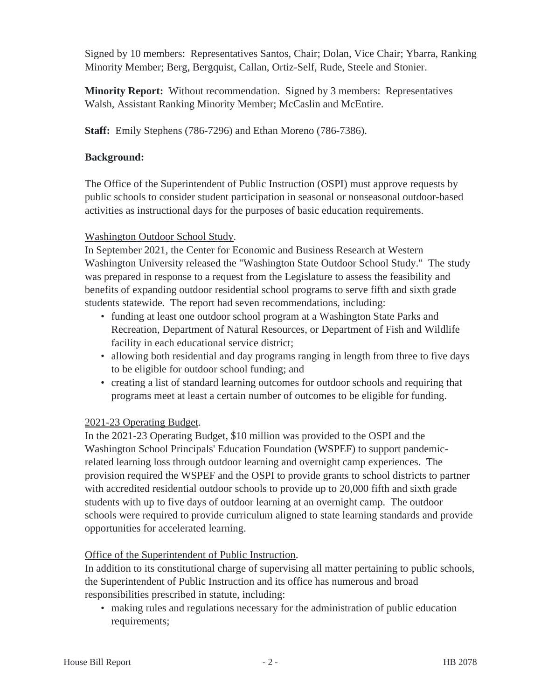Signed by 10 members: Representatives Santos, Chair; Dolan, Vice Chair; Ybarra, Ranking Minority Member; Berg, Bergquist, Callan, Ortiz-Self, Rude, Steele and Stonier.

**Minority Report:** Without recommendation. Signed by 3 members: Representatives Walsh, Assistant Ranking Minority Member; McCaslin and McEntire.

**Staff:** Emily Stephens (786-7296) and Ethan Moreno (786-7386).

#### **Background:**

The Office of the Superintendent of Public Instruction (OSPI) must approve requests by public schools to consider student participation in seasonal or nonseasonal outdoor-based activities as instructional days for the purposes of basic education requirements.

## Washington Outdoor School Study.

In September 2021, the Center for Economic and Business Research at Western Washington University released the "Washington State Outdoor School Study." The study was prepared in response to a request from the Legislature to assess the feasibility and benefits of expanding outdoor residential school programs to serve fifth and sixth grade students statewide. The report had seven recommendations, including:

- funding at least one outdoor school program at a Washington State Parks and Recreation, Department of Natural Resources, or Department of Fish and Wildlife facility in each educational service district;
- allowing both residential and day programs ranging in length from three to five days to be eligible for outdoor school funding; and
- creating a list of standard learning outcomes for outdoor schools and requiring that programs meet at least a certain number of outcomes to be eligible for funding.

## 2021-23 Operating Budget.

In the 2021-23 Operating Budget, \$10 million was provided to the OSPI and the Washington School Principals' Education Foundation (WSPEF) to support pandemicrelated learning loss through outdoor learning and overnight camp experiences. The provision required the WSPEF and the OSPI to provide grants to school districts to partner with accredited residential outdoor schools to provide up to 20,000 fifth and sixth grade students with up to five days of outdoor learning at an overnight camp. The outdoor schools were required to provide curriculum aligned to state learning standards and provide opportunities for accelerated learning.

#### Office of the Superintendent of Public Instruction.

In addition to its constitutional charge of supervising all matter pertaining to public schools, the Superintendent of Public Instruction and its office has numerous and broad responsibilities prescribed in statute, including:

• making rules and regulations necessary for the administration of public education requirements;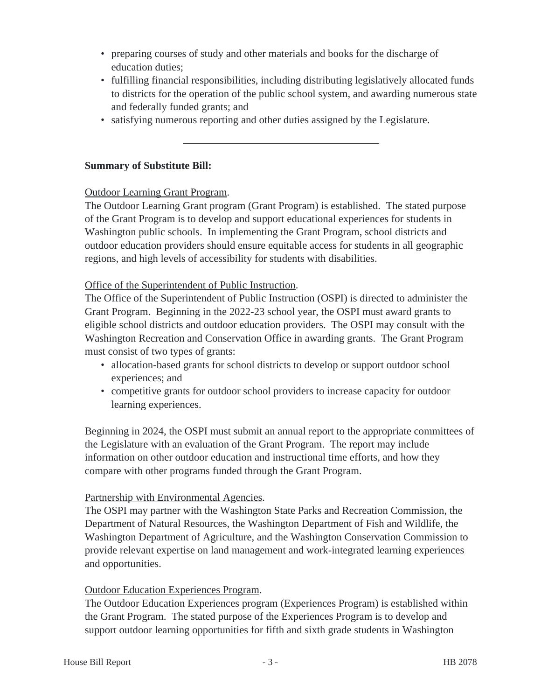- preparing courses of study and other materials and books for the discharge of education duties;
- fulfilling financial responsibilities, including distributing legislatively allocated funds to districts for the operation of the public school system, and awarding numerous state and federally funded grants; and
- satisfying numerous reporting and other duties assigned by the Legislature.

#### **Summary of Substitute Bill:**

### Outdoor Learning Grant Program.

The Outdoor Learning Grant program (Grant Program) is established. The stated purpose of the Grant Program is to develop and support educational experiences for students in Washington public schools. In implementing the Grant Program, school districts and outdoor education providers should ensure equitable access for students in all geographic regions, and high levels of accessibility for students with disabilities.

#### Office of the Superintendent of Public Instruction.

The Office of the Superintendent of Public Instruction (OSPI) is directed to administer the Grant Program. Beginning in the 2022-23 school year, the OSPI must award grants to eligible school districts and outdoor education providers. The OSPI may consult with the Washington Recreation and Conservation Office in awarding grants. The Grant Program must consist of two types of grants:

- allocation-based grants for school districts to develop or support outdoor school experiences; and
- competitive grants for outdoor school providers to increase capacity for outdoor learning experiences.

Beginning in 2024, the OSPI must submit an annual report to the appropriate committees of the Legislature with an evaluation of the Grant Program. The report may include information on other outdoor education and instructional time efforts, and how they compare with other programs funded through the Grant Program.

#### Partnership with Environmental Agencies.

The OSPI may partner with the Washington State Parks and Recreation Commission, the Department of Natural Resources, the Washington Department of Fish and Wildlife, the Washington Department of Agriculture, and the Washington Conservation Commission to provide relevant expertise on land management and work-integrated learning experiences and opportunities.

#### Outdoor Education Experiences Program.

The Outdoor Education Experiences program (Experiences Program) is established within the Grant Program. The stated purpose of the Experiences Program is to develop and support outdoor learning opportunities for fifth and sixth grade students in Washington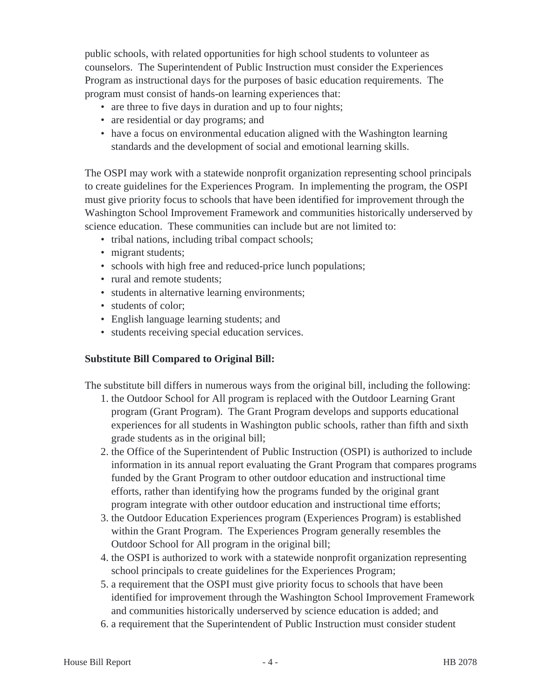public schools, with related opportunities for high school students to volunteer as counselors. The Superintendent of Public Instruction must consider the Experiences Program as instructional days for the purposes of basic education requirements. The program must consist of hands-on learning experiences that:

- are three to five days in duration and up to four nights;
- are residential or day programs; and
- have a focus on environmental education aligned with the Washington learning standards and the development of social and emotional learning skills.

The OSPI may work with a statewide nonprofit organization representing school principals to create guidelines for the Experiences Program. In implementing the program, the OSPI must give priority focus to schools that have been identified for improvement through the Washington School Improvement Framework and communities historically underserved by science education. These communities can include but are not limited to:

- tribal nations, including tribal compact schools;
- migrant students;
- schools with high free and reduced-price lunch populations;
- rural and remote students:
- students in alternative learning environments;
- students of color;
- English language learning students; and
- students receiving special education services.

#### **Substitute Bill Compared to Original Bill:**

The substitute bill differs in numerous ways from the original bill, including the following:

- 1. the Outdoor School for All program is replaced with the Outdoor Learning Grant program (Grant Program). The Grant Program develops and supports educational experiences for all students in Washington public schools, rather than fifth and sixth grade students as in the original bill;
- 2. the Office of the Superintendent of Public Instruction (OSPI) is authorized to include information in its annual report evaluating the Grant Program that compares programs funded by the Grant Program to other outdoor education and instructional time efforts, rather than identifying how the programs funded by the original grant program integrate with other outdoor education and instructional time efforts;
- 3. the Outdoor Education Experiences program (Experiences Program) is established within the Grant Program. The Experiences Program generally resembles the Outdoor School for All program in the original bill;
- 4. the OSPI is authorized to work with a statewide nonprofit organization representing school principals to create guidelines for the Experiences Program;
- 5. a requirement that the OSPI must give priority focus to schools that have been identified for improvement through the Washington School Improvement Framework and communities historically underserved by science education is added; and
- 6. a requirement that the Superintendent of Public Instruction must consider student